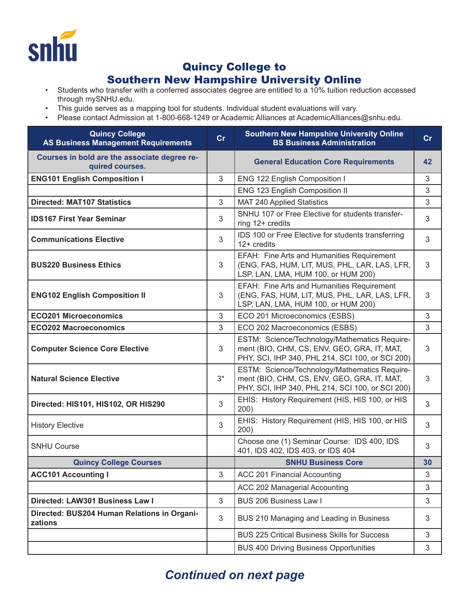

## Quincy College to

## Southern New Hampshire University Online

- Students who transfer with a conferred associates degree are entitled to a 10% tuition reduction accessed through mySNHU.edu.
- This guide serves as a mapping tool for students. Individual student evaluations will vary.
- Please contact Admission at 1-800-668-1249 or Academic Alliances at AcademicAlliances@snhu.edu.

| <b>Quincy College</b><br><b>AS Business Management Requirements</b> | cr    | <b>Southern New Hampshire University Online</b><br><b>BS Business Administration</b>                                                             | cr |
|---------------------------------------------------------------------|-------|--------------------------------------------------------------------------------------------------------------------------------------------------|----|
| Courses in bold are the associate degree re-<br>quired courses.     |       | <b>General Education Core Requirements</b>                                                                                                       | 42 |
| <b>ENG101 English Composition I</b>                                 | 3     | ENG 122 English Composition I                                                                                                                    | 3  |
|                                                                     |       | ENG 123 English Composition II                                                                                                                   | 3  |
| <b>Directed: MAT107 Statistics</b>                                  | 3     | MAT 240 Applied Statistics                                                                                                                       | 3  |
| <b>IDS167 First Year Seminar</b>                                    | 3     | SNHU 107 or Free Elective for students transfer-<br>ring 12+ credits                                                                             | 3  |
| <b>Communications Elective</b>                                      | 3     | IDS 100 or Free Elective for students transferring<br>$12+$ credits                                                                              | 3  |
| <b>BUS220 Business Ethics</b>                                       | 3     | EFAH: Fine Arts and Humanities Requirement<br>(ENG, FAS, HUM, LIT, MUS, PHL, LAR, LAS, LFR,<br>LSP, LAN, LMA, HUM 100, or HUM 200)               | 3  |
| <b>ENG102 English Composition II</b>                                | 3     | EFAH: Fine Arts and Humanities Requirement<br>(ENG, FAS, HUM, LIT, MUS, PHL, LAR, LAS, LFR,<br>LSP, LAN, LMA, HUM 100, or HUM 200)               | 3  |
| <b>ECO201 Microeconomics</b>                                        | 3     | ECO 201 Microeconomics (ESBS)                                                                                                                    | 3  |
| <b>ECO202 Macroeconomics</b>                                        | 3     | ECO 202 Macroeconomics (ESBS)                                                                                                                    | 3  |
| <b>Computer Science Core Elective</b>                               | 3     | ESTM: Science/Technology/Mathematics Require-<br>ment (BIO, CHM, CS, ENV, GEO, GRA, IT, MAT,<br>PHY, SCI, IHP 340, PHL 214, SCI 100, or SCI 200) | 3  |
| <b>Natural Science Elective</b>                                     | $3^*$ | ESTM: Science/Technology/Mathematics Require-<br>ment (BIO, CHM, CS, ENV, GEO, GRA, IT, MAT,<br>PHY, SCI, IHP 340, PHL 214, SCI 100, or SCI 200) | 3  |
| Directed: HIS101, HIS102, OR HIS290                                 | 3     | EHIS: History Requirement (HIS, HIS 100, or HIS<br>200)                                                                                          | 3  |
| <b>History Elective</b>                                             | 3     | EHIS: History Requirement (HIS, HIS 100, or HIS<br>200)                                                                                          | 3  |
| <b>SNHU Course</b>                                                  |       | Choose one (1) Seminar Course: IDS 400, IDS<br>401, IDS 402, IDS 403, or IDS 404                                                                 | 3  |
| <b>Quincy College Courses</b>                                       |       | <b>SNHU Business Core</b>                                                                                                                        | 30 |
| <b>ACC101 Accounting I</b>                                          | 3     | ACC 201 Financial Accounting                                                                                                                     | 3  |
|                                                                     |       | ACC 202 Managerial Accounting                                                                                                                    | 3  |
| Directed: LAW301 Business Law I                                     | 3     | <b>BUS 206 Business Law I</b>                                                                                                                    | 3  |
| Directed: BUS204 Human Relations in Organi-<br>zations              | 3     | BUS 210 Managing and Leading in Business                                                                                                         | 3  |
|                                                                     |       | <b>BUS 225 Critical Business Skills for Success</b>                                                                                              | 3  |
|                                                                     |       | <b>BUS 400 Driving Business Opportunities</b>                                                                                                    | 3  |

## *Continued on next page*